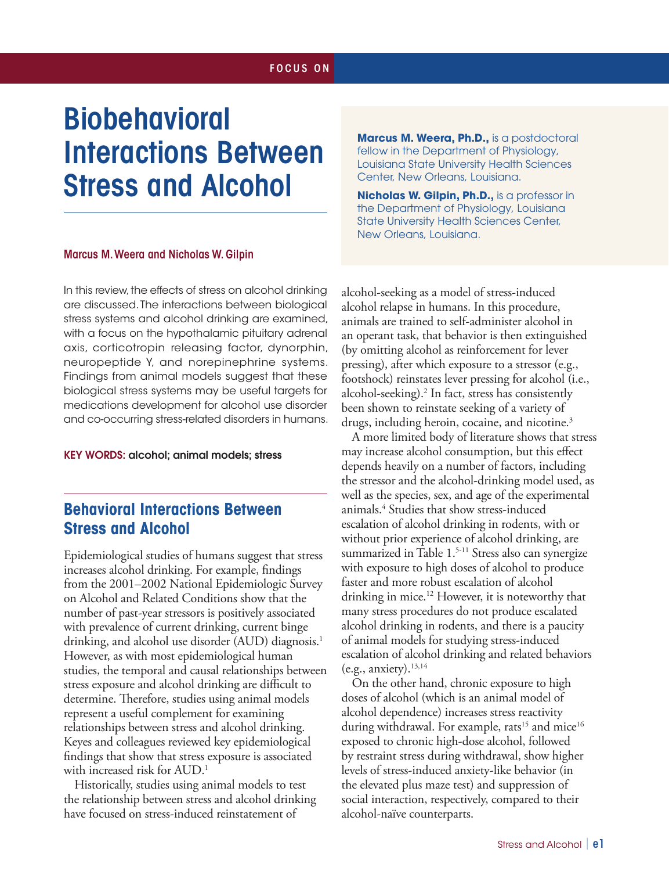# FOCUS ON

# Biobehavioral Interactions Between Stress and Alcohol

#### Marcus M. Weera and Nicholas W. Gilpin

In this review, the effects of stress on alcohol drinking are discussed. The interactions between biological stress systems and alcohol drinking are examined, with a focus on the hypothalamic pituitary adrenal axis, corticotropin releasing factor, dynorphin, neuropeptide Y, and norepinephrine systems. Findings from animal models suggest that these biological stress systems may be useful targets for medications development for alcohol use disorder and co-occurring stress-related disorders in humans.

KEY WORDS: alcohol; animal models; stress

# **Behavioral Interactions Between Stress and Alcohol**

Epidemiological studies of humans suggest that stress increases alcohol drinking. For example, findings from the 2001–2002 National Epidemiologic Survey on Alcohol and Related Conditions show that the number of past-year stressors is positively associated with prevalence of current drinking, current binge drinking, and alcohol use disorder (AUD) diagnosis.<sup>1</sup> However, as with most epidemiological human studies, the temporal and causal relationships between stress exposure and alcohol drinking are difficult to determine. Therefore, studies using animal models represent a useful complement for examining relationships between stress and alcohol drinking. Keyes and colleagues reviewed key epidemiological findings that show that stress exposure is associated with increased risk for AUD.<sup>1</sup>

Historically, studies using animal models to test the relationship between stress and alcohol drinking have focused on stress-induced reinstatement of

**Marcus M. Weera, Ph.D.,** is a postdoctoral fellow in the Department of Physiology, Louisiana State University Health Sciences Center, New Orleans, Louisiana.

**Nicholas W. Gilpin, Ph.D.,** is a professor in the Department of Physiology, Louisiana State University Health Sciences Center, New Orleans, Louisiana.

alcohol-seeking as a model of stress-induced alcohol relapse in humans. In this procedure, animals are trained to self-administer alcohol in an operant task, that behavior is then extinguished (by omitting alcohol as reinforcement for lever pressing), after which exposure to a stressor (e.g., footshock) reinstates lever pressing for alcohol (i.e., alcohol-seeking).2 In fact, stress has consistently been shown to reinstate seeking of a variety of drugs, including heroin, cocaine, and nicotine.<sup>3</sup>

A more limited body of literature shows that stress may increase alcohol consumption, but this effect depends heavily on a number of factors, including the stressor and the alcohol-drinking model used, as well as the species, sex, and age of the experimental animals.4 Studies that show stress-induced escalation of alcohol drinking in rodents, with or without prior experience of alcohol drinking, are summarized in Table 1.<sup>5-11</sup> Stress also can synergize with exposure to high doses of alcohol to produce faster and more robust escalation of alcohol drinking in mice.12 However, it is noteworthy that many stress procedures do not produce escalated alcohol drinking in rodents, and there is a paucity of animal models for studying stress-induced escalation of alcohol drinking and related behaviors  $(e.g.,$  anxiety). $13,14$ 

On the other hand, chronic exposure to high doses of alcohol (which is an animal model of alcohol dependence) increases stress reactivity during withdrawal. For example, rats<sup>15</sup> and mice<sup>16</sup> exposed to chronic high-dose alcohol, followed by restraint stress during withdrawal, show higher levels of stress-induced anxiety-like behavior (in the elevated plus maze test) and suppression of social interaction, respectively, compared to their alcohol-naïve counterparts.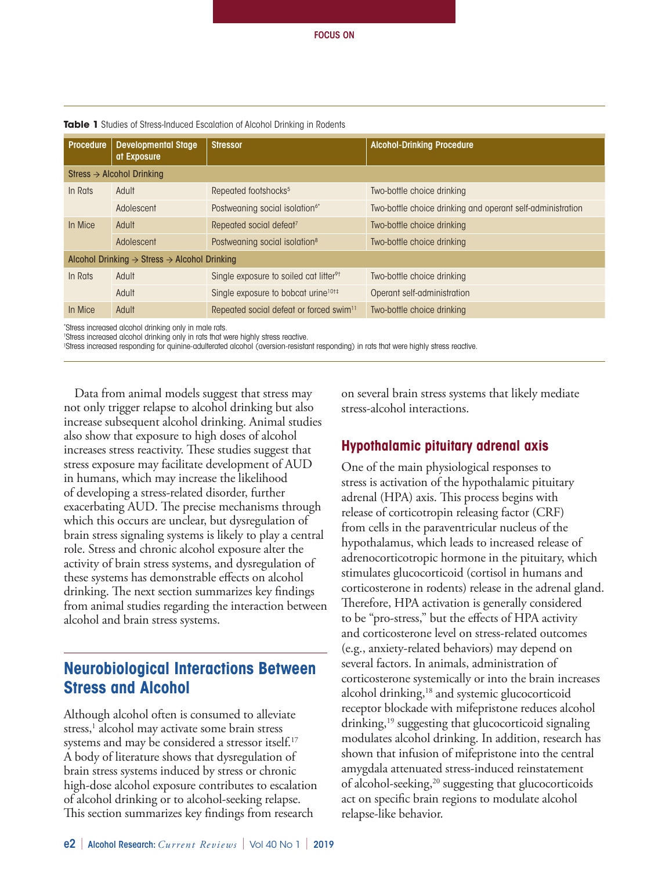| Procedure                                                            | <b>Developmental Stage</b><br>at Exposure | <b>Stressor</b>                                     | <b>Alcohol-Drinking Procedure</b>                          |
|----------------------------------------------------------------------|-------------------------------------------|-----------------------------------------------------|------------------------------------------------------------|
| Stress $\rightarrow$ Alcohol Drinking                                |                                           |                                                     |                                                            |
| In Rats                                                              | Adult                                     | Repeated footshocks <sup>5</sup>                    | Two-bottle choice drinking                                 |
|                                                                      | Adolescent                                | Postweaning social isolation <sup>6*</sup>          | Two-bottle choice drinking and operant self-administration |
| In Mice                                                              | Adult                                     | Repeated social defeat <sup>7</sup>                 | Two-bottle choice drinking                                 |
|                                                                      | Adolescent                                | Postweaning social isolation <sup>8</sup>           | Two-bottle choice drinking                                 |
| Alcohol Drinking $\rightarrow$ Stress $\rightarrow$ Alcohol Drinking |                                           |                                                     |                                                            |
| In Rats                                                              | Adult                                     | Single exposure to soiled cat litter <sup>91</sup>  | Two-bottle choice drinking                                 |
|                                                                      | Adult                                     | Single exposure to bobcat urine <sup>101‡</sup>     | Operant self-administration                                |
| In Mice                                                              | Adult                                     | Repeated social defeat or forced swim <sup>11</sup> | Two-bottle choice drinking                                 |

#### **Table 1** Studies of Stress-Induced Escalation of Alcohol Drinking in Rodents

\* Stress increased alcohol drinking only in male rats.

† Stress increased alcohol drinking only in rats that were highly stress reactive.

‡ Stress increased responding for quinine-adulterated alcohol (aversion-resistant responding) in rats that were highly stress reactive.

Data from animal models suggest that stress may not only trigger relapse to alcohol drinking but also increase subsequent alcohol drinking. Animal studies also show that exposure to high doses of alcohol increases stress reactivity. These studies suggest that stress exposure may facilitate development of AUD in humans, which may increase the likelihood of developing a stress-related disorder, further exacerbating AUD. The precise mechanisms through which this occurs are unclear, but dysregulation of brain stress signaling systems is likely to play a central role. Stress and chronic alcohol exposure alter the activity of brain stress systems, and dysregulation of these systems has demonstrable effects on alcohol drinking. The next section summarizes key findings from animal studies regarding the interaction between alcohol and brain stress systems.

# **Neurobiological Interactions Between Stress and Alcohol**

Although alcohol often is consumed to alleviate stress,<sup>1</sup> alcohol may activate some brain stress systems and may be considered a stressor itself.<sup>17</sup> A body of literature shows that dysregulation of brain stress systems induced by stress or chronic high-dose alcohol exposure contributes to escalation of alcohol drinking or to alcohol-seeking relapse. This section summarizes key findings from research

on several brain stress systems that likely mediate stress-alcohol interactions.

# **Hypothalamic pituitary adrenal axis**

One of the main physiological responses to stress is activation of the hypothalamic pituitary adrenal (HPA) axis. This process begins with release of corticotropin releasing factor (CRF) from cells in the paraventricular nucleus of the hypothalamus, which leads to increased release of adrenocorticotropic hormone in the pituitary, which stimulates glucocorticoid (cortisol in humans and corticosterone in rodents) release in the adrenal gland. Therefore, HPA activation is generally considered to be "pro-stress," but the effects of HPA activity and corticosterone level on stress-related outcomes (e.g., anxiety-related behaviors) may depend on several factors. In animals, administration of corticosterone systemically or into the brain increases alcohol drinking,18 and systemic glucocorticoid receptor blockade with mifepristone reduces alcohol drinking,<sup>19</sup> suggesting that glucocorticoid signaling modulates alcohol drinking. In addition, research has shown that infusion of mifepristone into the central amygdala attenuated stress-induced reinstatement of alcohol-seeking,<sup>20</sup> suggesting that glucocorticoids act on specific brain regions to modulate alcohol relapse-like behavior.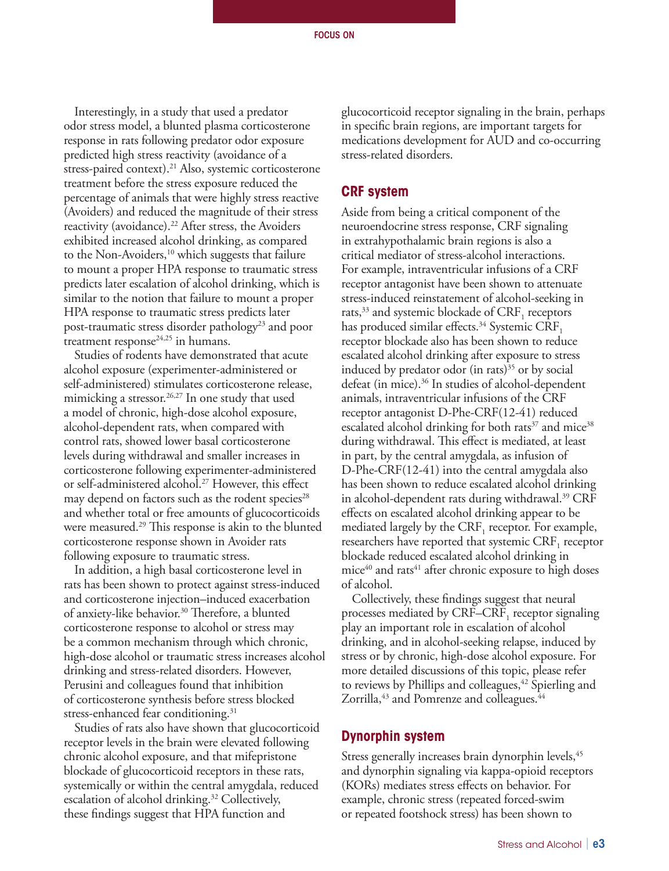Interestingly, in a study that used a predator odor stress model, a blunted plasma corticosterone response in rats following predator odor exposure predicted high stress reactivity (avoidance of a stress-paired context).<sup>21</sup> Also, systemic corticosterone treatment before the stress exposure reduced the percentage of animals that were highly stress reactive (Avoiders) and reduced the magnitude of their stress reactivity (avoidance).<sup>22</sup> After stress, the Avoiders exhibited increased alcohol drinking, as compared to the Non-Avoiders,<sup>10</sup> which suggests that failure to mount a proper HPA response to traumatic stress predicts later escalation of alcohol drinking, which is similar to the notion that failure to mount a proper HPA response to traumatic stress predicts later post-traumatic stress disorder pathology<sup>23</sup> and poor treatment response<sup>24,25</sup> in humans.

Studies of rodents have demonstrated that acute alcohol exposure (experimenter-administered or self-administered) stimulates corticosterone release, mimicking a stressor.<sup>26,27</sup> In one study that used a model of chronic, high-dose alcohol exposure, alcohol-dependent rats, when compared with control rats, showed lower basal corticosterone levels during withdrawal and smaller increases in corticosterone following experimenter-administered or self-administered alcohol.<sup>27</sup> However, this effect may depend on factors such as the rodent species $28$ and whether total or free amounts of glucocorticoids were measured.29 This response is akin to the blunted corticosterone response shown in Avoider rats following exposure to traumatic stress.

In addition, a high basal corticosterone level in rats has been shown to protect against stress-induced and corticosterone injection–induced exacerbation of anxiety-like behavior.<sup>30</sup> Therefore, a blunted corticosterone response to alcohol or stress may be a common mechanism through which chronic, high-dose alcohol or traumatic stress increases alcohol drinking and stress-related disorders. However, Perusini and colleagues found that inhibition of corticosterone synthesis before stress blocked stress-enhanced fear conditioning.<sup>31</sup>

Studies of rats also have shown that glucocorticoid receptor levels in the brain were elevated following chronic alcohol exposure, and that mifepristone blockade of glucocorticoid receptors in these rats, systemically or within the central amygdala, reduced escalation of alcohol drinking.<sup>32</sup> Collectively, these findings suggest that HPA function and

glucocorticoid receptor signaling in the brain, perhaps in specific brain regions, are important targets for medications development for AUD and co-occurring stress-related disorders.

### **CRF system**

Aside from being a critical component of the neuroendocrine stress response, CRF signaling in extrahypothalamic brain regions is also a critical mediator of stress-alcohol interactions. For example, intraventricular infusions of a CRF receptor antagonist have been shown to attenuate stress-induced reinstatement of alcohol-seeking in rats, $33$  and systemic blockade of CRF<sub>1</sub> receptors has produced similar effects.<sup>34</sup> Systemic CRF<sub>1</sub> receptor blockade also has been shown to reduce escalated alcohol drinking after exposure to stress induced by predator odor (in rats) $35$  or by social defeat (in mice).<sup>36</sup> In studies of alcohol-dependent animals, intraventricular infusions of the CRF receptor antagonist D-Phe-CRF(12-41) reduced escalated alcohol drinking for both rats $37$  and mice $38$ during withdrawal. This effect is mediated, at least in part, by the central amygdala, as infusion of D-Phe-CRF(12-41) into the central amygdala also has been shown to reduce escalated alcohol drinking in alcohol-dependent rats during withdrawal.39 CRF effects on escalated alcohol drinking appear to be mediated largely by the  $CRF<sub>1</sub>$  receptor. For example, researchers have reported that systemic  $CRF<sub>1</sub>$  receptor blockade reduced escalated alcohol drinking in mice<sup>40</sup> and rats<sup>41</sup> after chronic exposure to high doses of alcohol.

Collectively, these findings suggest that neural processes mediated by  $CRF-CRF_1$  receptor signaling play an important role in escalation of alcohol drinking, and in alcohol-seeking relapse, induced by stress or by chronic, high-dose alcohol exposure. For more detailed discussions of this topic, please refer to reviews by Phillips and colleagues,<sup>42</sup> Spierling and Zorrilla,<sup>43</sup> and Pomrenze and colleagues.<sup>44</sup>

#### **Dynorphin system**

Stress generally increases brain dynorphin levels, <sup>45</sup> and dynorphin signaling via kappa-opioid receptors (KORs) mediates stress effects on behavior. For example, chronic stress (repeated forced-swim or repeated footshock stress) has been shown to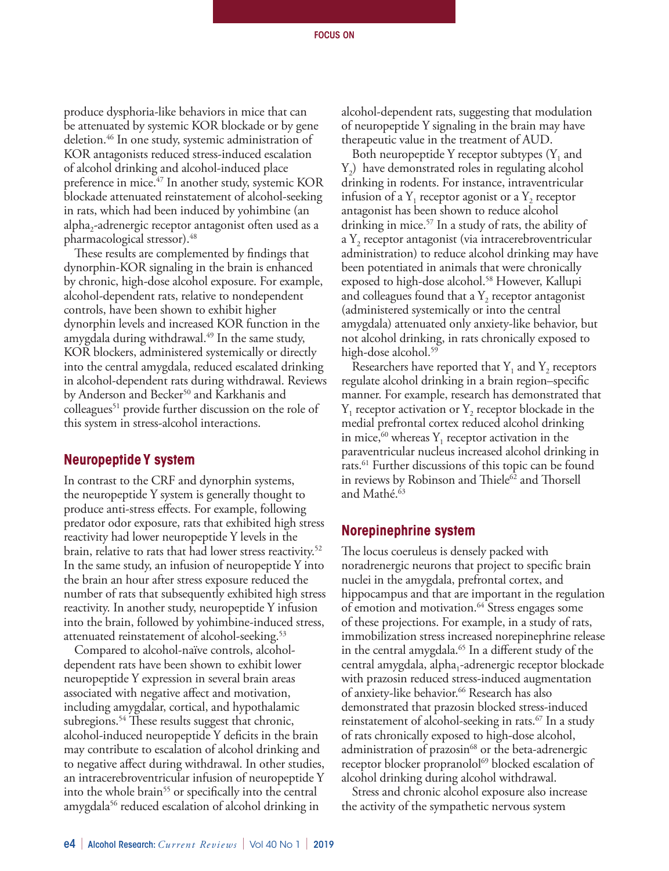produce dysphoria-like behaviors in mice that can be attenuated by systemic KOR blockade or by gene deletion.46 In one study, systemic administration of KOR antagonists reduced stress-induced escalation of alcohol drinking and alcohol-induced place preference in mice.<sup>47</sup> In another study, systemic KOR blockade attenuated reinstatement of alcohol-seeking in rats, which had been induced by yohimbine (an alpha<sub>2</sub>-adrenergic receptor antagonist often used as a pharmacological stressor).48

These results are complemented by findings that dynorphin-KOR signaling in the brain is enhanced by chronic, high-dose alcohol exposure. For example, alcohol-dependent rats, relative to nondependent controls, have been shown to exhibit higher dynorphin levels and increased KOR function in the amygdala during withdrawal.<sup>49</sup> In the same study, KOR blockers, administered systemically or directly into the central amygdala, reduced escalated drinking in alcohol-dependent rats during withdrawal. Reviews by Anderson and Becker<sup>50</sup> and Karkhanis and colleagues<sup>51</sup> provide further discussion on the role of this system in stress-alcohol interactions.

## **Neuropeptide Y system**

In contrast to the CRF and dynorphin systems, the neuropeptide Y system is generally thought to produce anti-stress effects. For example, following predator odor exposure, rats that exhibited high stress reactivity had lower neuropeptide Y levels in the brain, relative to rats that had lower stress reactivity.<sup>52</sup> In the same study, an infusion of neuropeptide Y into the brain an hour after stress exposure reduced the number of rats that subsequently exhibited high stress reactivity. In another study, neuropeptide Y infusion into the brain, followed by yohimbine-induced stress, attenuated reinstatement of alcohol-seeking.53

Compared to alcohol-naïve controls, alcoholdependent rats have been shown to exhibit lower neuropeptide Y expression in several brain areas associated with negative affect and motivation, including amygdalar, cortical, and hypothalamic subregions.<sup>54</sup> These results suggest that chronic, alcohol-induced neuropeptide Y deficits in the brain may contribute to escalation of alcohol drinking and to negative affect during withdrawal. In other studies, an intracerebroventricular infusion of neuropeptide Y into the whole brain<sup>55</sup> or specifically into the central amygdala<sup>56</sup> reduced escalation of alcohol drinking in

alcohol-dependent rats, suggesting that modulation of neuropeptide Y signaling in the brain may have therapeutic value in the treatment of AUD.

Both neuropeptide Y receptor subtypes  $(Y_1$  and  $Y_2$ ) have demonstrated roles in regulating alcohol drinking in rodents. For instance, intraventricular infusion of a  $Y_1$  receptor agonist or a  $Y_2$  receptor antagonist has been shown to reduce alcohol drinking in mice.57 In a study of rats, the ability of a  $Y<sub>2</sub>$  receptor antagonist (via intracerebroventricular administration) to reduce alcohol drinking may have been potentiated in animals that were chronically exposed to high-dose alcohol.<sup>58</sup> However, Kallupi and colleagues found that a  $Y<sub>2</sub>$  receptor antagonist (administered systemically or into the central amygdala) attenuated only anxiety-like behavior, but not alcohol drinking, in rats chronically exposed to high-dose alcohol.<sup>59</sup>

Researchers have reported that  $Y_1$  and  $Y_2$  receptors regulate alcohol drinking in a brain region–specific manner. For example, research has demonstrated that  $Y_1$  receptor activation or  $Y_2$  receptor blockade in the medial prefrontal cortex reduced alcohol drinking in mice,  $60$  whereas Y<sub>1</sub> receptor activation in the paraventricular nucleus increased alcohol drinking in rats.61 Further discussions of this topic can be found in reviews by Robinson and Thiele $62$  and Thorsell and Mathé. 63

## **Norepinephrine system**

The locus coeruleus is densely packed with noradrenergic neurons that project to specific brain nuclei in the amygdala, prefrontal cortex, and hippocampus and that are important in the regulation of emotion and motivation.<sup>64</sup> Stress engages some of these projections. For example, in a study of rats, immobilization stress increased norepinephrine release in the central amygdala.<sup>65</sup> In a different study of the central amygdala, alpha<sub>1</sub>-adrenergic receptor blockade with prazosin reduced stress-induced augmentation of anxiety-like behavior.<sup>66</sup> Research has also demonstrated that prazosin blocked stress-induced reinstatement of alcohol-seeking in rats.<sup>67</sup> In a study of rats chronically exposed to high-dose alcohol, administration of prazosin $68$  or the beta-adrenergic receptor blocker propranolol<sup>69</sup> blocked escalation of alcohol drinking during alcohol withdrawal.

Stress and chronic alcohol exposure also increase the activity of the sympathetic nervous system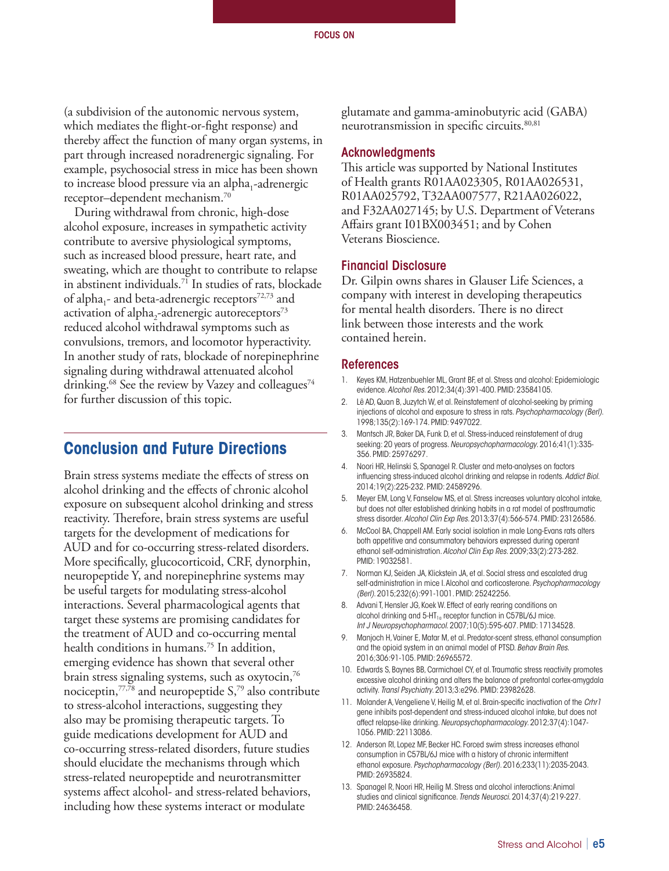(a subdivision of the autonomic nervous system, which mediates the flight-or-fight response) and thereby affect the function of many organ systems, in part through increased noradrenergic signaling. For example, psychosocial stress in mice has been shown to increase blood pressure via an alpha<sub>1</sub>-adrenergic receptor–dependent mechanism.70

During withdrawal from chronic, high-dose alcohol exposure, increases in sympathetic activity contribute to aversive physiological symptoms, such as increased blood pressure, heart rate, and sweating, which are thought to contribute to relapse in abstinent individuals.71 In studies of rats, blockade of alpha<sub>1</sub>- and beta-adrenergic receptors<sup>72,73</sup> and activation of alpha<sub>2</sub>-adrenergic autoreceptors<sup>73</sup> reduced alcohol withdrawal symptoms such as convulsions, tremors, and locomotor hyperactivity. In another study of rats, blockade of norepinephrine signaling during withdrawal attenuated alcohol drinking.<sup>68</sup> See the review by Vazey and colleagues<sup>74</sup> for further discussion of this topic.

# **Conclusion and Future Directions**

Brain stress systems mediate the effects of stress on alcohol drinking and the effects of chronic alcohol exposure on subsequent alcohol drinking and stress reactivity. Therefore, brain stress systems are useful targets for the development of medications for AUD and for co-occurring stress-related disorders. More specifically, glucocorticoid, CRF, dynorphin, neuropeptide Y, and norepinephrine systems may be useful targets for modulating stress-alcohol interactions. Several pharmacological agents that target these systems are promising candidates for the treatment of AUD and co-occurring mental health conditions in humans.<sup>75</sup> In addition, emerging evidence has shown that several other brain stress signaling systems, such as oxytocin,<sup>76</sup> nociceptin,77,78 and neuropeptide S,79 also contribute to stress-alcohol interactions, suggesting they also may be promising therapeutic targets. To guide medications development for AUD and co-occurring stress-related disorders, future studies should elucidate the mechanisms through which stress-related neuropeptide and neurotransmitter systems affect alcohol- and stress-related behaviors, including how these systems interact or modulate

glutamate and gamma-aminobutyric acid (GABA) neurotransmission in specific circuits.<sup>80,81</sup>

#### Acknowledgments

This article was supported by National Institutes of Health grants R01AA023305, R01AA026531, R01AA025792, T32AA007577, R21AA026022, and F32AA027145; by U.S. Department of Veterans Affairs grant I01BX003451; and by Cohen Veterans Bioscience.

#### Financial Disclosure

Dr. Gilpin owns shares in Glauser Life Sciences, a company with interest in developing therapeutics for mental health disorders. There is no direct link between those interests and the work contained herein.

#### References

- 1. Keyes KM, Hatzenbuehler ML, Grant BF, et al. Stress and alcohol: Epidemiologic evidence. *Alcohol Res*. 2012;34(4):391-400. PMID: 23584105.
- 2. Lê AD, Quan B, Juzytch W, et al. Reinstatement of alcohol-seeking by priming injections of alcohol and exposure to stress in rats. *Psychopharmacology (Berl)*. 1998;135(2):169-174. PMID: 9497022.
- 3. Mantsch JR, Baker DA, Funk D, et al. Stress-induced reinstatement of drug seeking: 20 years of progress. *Neuropsychopharmacology*. 2016;41(1):335- 356. PMID: 25976297.
- 4. Noori HR, Helinski S, Spanagel R. Cluster and meta-analyses on factors influencing stress-induced alcohol drinking and relapse in rodents. *Addict Biol*. 2014;19(2):225-232. PMID: 24589296.
- 5. Meyer EM, Long V, Fanselow MS, et al. Stress increases voluntary alcohol intake, but does not alter established drinking habits in a rat model of posttraumatic stress disorder. *Alcohol Clin Exp Res*. 2013;37(4):566-574. PMID: 23126586.
- 6. McCool BA, Chappell AM. Early social isolation in male Long-Evans rats alters both appetitive and consummatory behaviors expressed during operant ethanol self-administration. *Alcohol Clin Exp Res*. 2009;33(2):273-282. PMID: 19032581.
- 7. Norman KJ, Seiden JA, Klickstein JA, et al. Social stress and escalated drug self-administration in mice I. Alcohol and corticosterone. *Psychopharmacology (Berl)*. 2015;232(6):991-1001. PMID: 25242256.
- 8. Advani T, Hensler JG, Koek W. Effect of early rearing conditions on alcohol drinking and  $5-HT_{1a}$  receptor function in C57BL/6J mice. *Int J Neuropsychopharmacol*. 2007;10(5):595-607. PMID: 17134528.
- 9. Manjoch H, Vainer E, Matar M, et al. Predator-scent stress, ethanol consumption and the opioid system in an animal model of PTSD. *Behav Brain Res*. 2016;306:91-105. PMID: 26965572.
- 10. Edwards S, Baynes BB, Carmichael CY, et al. Traumatic stress reactivity promotes excessive alcohol drinking and alters the balance of prefrontal cortex-amygdala activity. *Transl Psychiatry*. 2013;3:e296. PMID: 23982628.
- 11. Molander A, Vengeliene V, Heilig M, et al. Brain-specific inactivation of the *Crhr1* gene inhibits post-dependent and stress-induced alcohol intake, but does not affect relapse-like drinking. *Neuropsychopharmacology*. 2012;37(4):1047- 1056. PMID: 22113086.
- 12. Anderson RI, Lopez MF, Becker HC. Forced swim stress increases ethanol consumption in C57BL/6J mice with a history of chronic intermittent ethanol exposure. *Psychopharmacology (Berl)*. 2016;233(11):2035-2043. PMID: 26935824.
- 13. Spanagel R, Noori HR, Heilig M. Stress and alcohol interactions: Animal studies and clinical significance. *Trends Neurosci*. 2014;37(4):219-227. PMID: 24636458.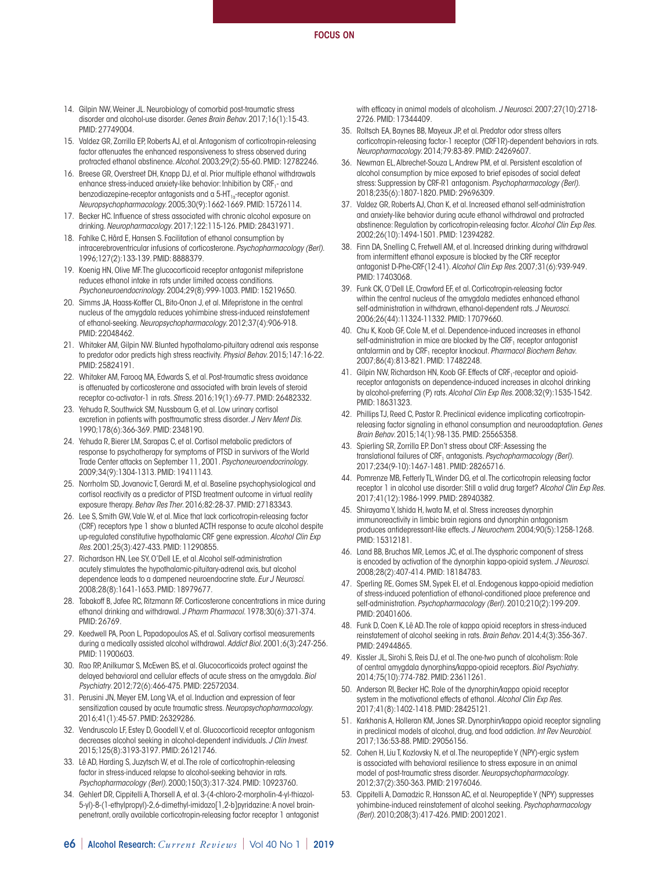- 14. Gilpin NW, Weiner JL. Neurobiology of comorbid post-traumatic stress disorder and alcohol-use disorder. *Genes Brain Behav*. 2017;16(1):15-43. PMID: 27749004.
- 15. Valdez GR, Zorrilla EP, Roberts AJ, et al. Antagonism of corticotropin-releasing factor attenuates the enhanced responsiveness to stress observed during protracted ethanol abstinence. *Alcohol*. 2003;29(2):55-60. PMID: 12782246.
- 16. Breese GR, Overstreet DH, Knapp DJ, et al. Prior multiple ethanol withdrawals enhance stress-induced anxiety-like behavior: Inhibition by CRF<sub>1</sub>- and benzodiazepine-receptor antagonists and a  $5-HT_{1a}$ -receptor agonist. *Neuropsychopharmacology*. 2005;30(9):1662-1669. PMID: 15726114.
- 17. Becker HC. Influence of stress associated with chronic alcohol exposure on drinking. *Neuropharmacology*. 2017;122:115-126. PMID: 28431971.
- 18. Fahlke C, Hård E, Hansen S. Facilitation of ethanol consumption by intracerebroventricular infusions of corticosterone. *Psychopharmacology (Berl)*. 1996;127(2):133-139. PMID: 8888379.
- 19. Koenig HN, Olive MF. The glucocorticoid receptor antagonist mifepristone reduces ethanol intake in rats under limited access conditions. *Psychoneuroendocrinology*. 2004;29(8):999-1003. PMID: 15219650.
- 20. Simms JA, Haass-Koffler CL, Bito-Onon J, et al. Mifepristone in the central nucleus of the amygdala reduces yohimbine stress-induced reinstatement of ethanol-seeking. *Neuropsychopharmacology*. 2012;37(4):906-918. PMID: 22048462.
- 21. Whitaker AM, Gilpin NW. Blunted hypothalamo-pituitary adrenal axis response to predator odor predicts high stress reactivity. *Physiol Behav*. 2015;147:16-22. PMID: 25824191.
- 22. Whitaker AM, Farooq MA, Edwards S, et al. Post-traumatic stress avoidance is attenuated by corticosterone and associated with brain levels of steroid receptor co-activator-1 in rats. *Stress*. 2016;19(1):69-77. PMID: 26482332.
- 23. Yehuda R, Southwick SM, Nussbaum G, et al. Low urinary cortisol excretion in patients with posttraumatic stress disorder. *J Nerv Ment Dis*. 1990;178(6):366-369. PMID: 2348190.
- 24. Yehuda R, Bierer LM, Sarapas C, et al. Cortisol metabolic predictors of response to psychotherapy for symptoms of PTSD in survivors of the World Trade Center attacks on September 11, 2001. *Psychoneuroendocrinology*. 2009;34(9):1304-1313. PMID: 19411143.
- 25. Norrholm SD, Jovanovic T, Gerardi M, et al. Baseline psychophysiological and cortisol reactivity as a predictor of PTSD treatment outcome in virtual reality exposure therapy. *Behav Res Ther*. 2016;82:28-37. PMID: 27183343.
- 26. Lee S, Smith GW, Vale W, et al. Mice that lack corticotropin-releasing factor (CRF) receptors type 1 show a blunted ACTH response to acute alcohol despite up-regulated constitutive hypothalamic CRF gene expression. *Alcohol Clin Exp Res*. 2001;25(3):427-433. PMID: 11290855.
- 27. Richardson HN, Lee SY, O'Dell LE, et al. Alcohol self-administration acutely stimulates the hypothalamic-pituitary-adrenal axis, but alcohol dependence leads to a dampened neuroendocrine state. *Eur J Neurosci*. 2008;28(8):1641-1653. PMID: 18979677.
- 28. Tabakoff B, Jafee RC, Ritzmann RF. Corticosterone concentrations in mice during ethanol drinking and withdrawal. *J Pharm Pharmacol*. 1978;30(6):371-374. PMID: 26769.
- 29. Keedwell PA, Poon L, Papadopoulos AS, et al. Salivary cortisol measurements during a medically assisted alcohol withdrawal. *Addict Biol*. 2001;6(3):247-256. PMID: 11900603.
- 30. Rao RP, Anilkumar S, McEwen BS, et al. Glucocorticoids protect against the delayed behavioral and cellular effects of acute stress on the amygdala. *Biol Psychiatry*. 2012;72(6):466-475. PMID: 22572034.
- 31. Perusini JN, Meyer EM, Long VA, et al. Induction and expression of fear sensitization caused by acute traumatic stress. *Neuropsychopharmacology*. 2016;41(1):45-57. PMID: 26329286.
- 32. Vendruscolo LF, Estey D, Goodell V, et al. Glucocorticoid receptor antagonism decreases alcohol seeking in alcohol-dependent individuals. *J Clin Invest*. 2015;125(8):3193-3197. PMID: 26121746.
- 33. Lê AD, Harding S, Juzytsch W, et al. The role of corticotrophin-releasing factor in stress-induced relapse to alcohol-seeking behavior in rats. *Psychopharmacology (Berl)*. 2000;150(3):317-324. PMID: 10923760.
- 34. Gehlert DR, Cippitelli A, Thorsell A, et al. 3-(4-chloro-2-morpholin-4-yl-thiazol-5-yl)-8-(1-ethylpropyl)-2,6-dimethyl-imidazo[1,2-b]pyridazine: A novel brainpenetrant, orally available corticotropin-releasing factor receptor 1 antagonist

with efficacy in animal models of alcoholism. *J Neurosci*. 2007;27(10):2718- 2726. PMID: 17344409.

- 35. Roltsch EA, Baynes BB, Mayeux JP, et al. Predator odor stress alters corticotropin-releasing factor-1 receptor (CRF1R)-dependent behaviors in rats. *Neuropharmacology*. 2014;79:83-89. PMID: 24269607.
- 36. Newman EL, Albrechet-Souza L, Andrew PM, et al. Persistent escalation of alcohol consumption by mice exposed to brief episodes of social defeat stress: Suppression by CRF-R1 antagonism. *Psychopharmacology (Berl)*. 2018;235(6):1807-1820. PMID: 29696309.
- 37. Valdez GR, Roberts AJ, Chan K, et al. Increased ethanol self-administration and anxiety-like behavior during acute ethanol withdrawal and protracted abstinence: Regulation by corticotropin-releasing factor. *Alcohol Clin Exp Res*. 2002;26(10):1494-1501. PMID: 12394282.
- 38. Finn DA, Snelling C, Fretwell AM, et al. Increased drinking during withdrawal from intermittent ethanol exposure is blocked by the CRF receptor antagonist D-Phe-CRF(12-41). *Alcohol Clin Exp Res*. 2007;31(6):939-949. PMID: 17403068.
- 39. Funk CK, O'Dell LE, Crawford EF, et al. Corticotropin-releasing factor within the central nucleus of the amygdala mediates enhanced ethanol self-administration in withdrawn, ethanol-dependent rats. *J Neurosci*. 2006;26(44):11324-11332. PMID: 17079660.
- 40. Chu K, Koob GF, Cole M, et al. Dependence-induced increases in ethanol self-administration in mice are blocked by the CRF<sub>1</sub> receptor antagonist antalarmin and by CRF<sub>1</sub> receptor knockout. *Pharmacol Biochem Behav*. 2007;86(4):813-821. PMID: 17482248.
- 41. Gilpin NW, Richardson HN, Koob GF. Effects of CRF<sub>1</sub>-receptor and opioidreceptor antagonists on dependence-induced increases in alcohol drinking by alcohol-preferring (P) rats. *Alcohol Clin Exp Res*. 2008;32(9):1535-1542. PMID: 18631323.
- 42. Phillips TJ, Reed C, Pastor R. Preclinical evidence implicating corticotropinreleasing factor signaling in ethanol consumption and neuroadaptation. *Genes Brain Behav*. 2015;14(1):98-135. PMID: 25565358.
- 43. Spierling SR, Zorrilla EP. Don't stress about CRF: Assessing the translational failures of CRF<sub>1</sub> antagonists. *Psychopharmacology (Berl)*. 2017;234(9-10):1467-1481. PMID: 28265716.
- 44. Pomrenze MB, Fetterly TL, Winder DG, et al. The corticotropin releasing factor receptor 1 in alcohol use disorder: Still a valid drug target? *Alcohol Clin Exp Res*. 2017;41(12):1986-1999. PMID: 28940382.
- 45. Shirayama Y, Ishida H, Iwata M, et al. Stress increases dynorphin immunoreactivity in limbic brain regions and dynorphin antagonism produces antidepressant-like effects. *J Neurochem*. 2004;90(5):1258-1268. PMID: 15312181.
- 46. Land BB, Bruchas MR, Lemos JC, et al. The dysphoric component of stress is encoded by activation of the dynorphin kappa-opioid system. *J Neurosci*. 2008;28(2):407-414. PMID: 18184783.
- 47. Sperling RE, Gomes SM, Sypek EI, et al. Endogenous kappa-opioid mediation of stress-induced potentiation of ethanol-conditioned place preference and self-administration. *Psychopharmacology (Berl)*. 2010;210(2):199-209. PMID: 20401606.
- 48. Funk D, Coen K, Lê AD. The role of kappa opioid receptors in stress-induced reinstatement of alcohol seeking in rats. *Brain Behav*. 2014;4(3):356-367. PMID: 24944865.
- 49. Kissler JL, Sirohi S, Reis DJ, et al. The one-two punch of alcoholism: Role of central amygdala dynorphins/kappa-opioid receptors. *Biol Psychiatry*. 2014;75(10):774-782. PMID: 23611261.
- 50. Anderson RI, Becker HC. Role of the dynorphin/kappa opioid receptor system in the motivational effects of ethanol. *Alcohol Clin Exp Res*. 2017;41(8):1402-1418. PMID: 28425121.
- 51. Karkhanis A, Holleran KM, Jones SR. Dynorphin/kappa opioid receptor signaling in preclinical models of alcohol, drug, and food addiction. *Int Rev Neurobiol*. 2017;136:53-88. PMID: 29056156.
- 52. Cohen H, Liu T, Kozlovsky N, et al. The neuropeptide Y (NPY)-ergic system is associated with behavioral resilience to stress exposure in an animal model of post-traumatic stress disorder. *Neuropsychopharmacology*. 2012;37(2):350-363. PMID: 21976046.
- 53. Cippitelli A, Damadzic R, Hansson AC, et al. Neuropeptide Y (NPY) suppresses yohimbine-induced reinstatement of alcohol seeking. *Psychopharmacology (Berl)*. 2010;208(3):417-426. PMID: 20012021.